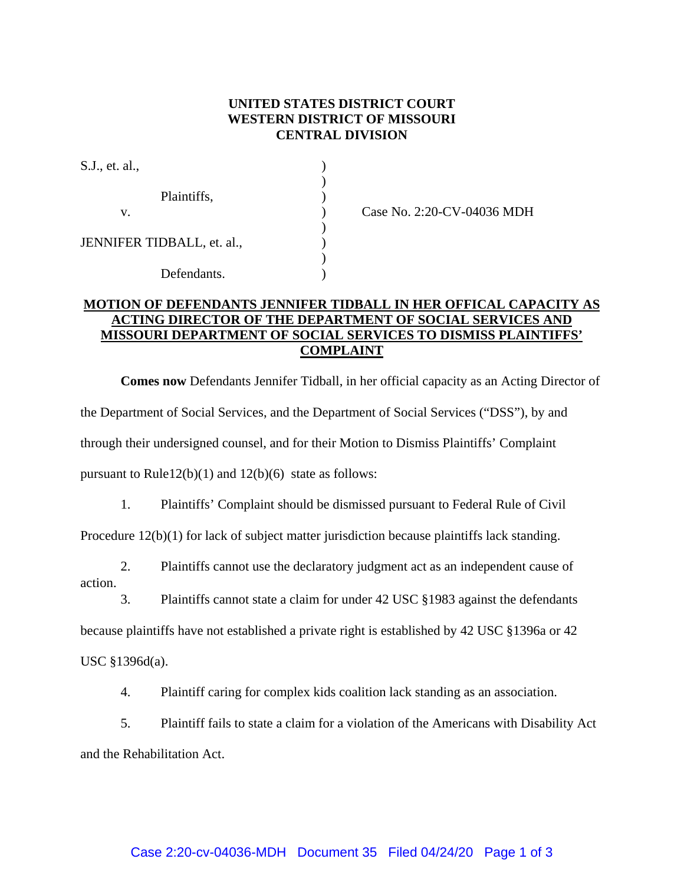#### **UNITED STATES DISTRICT COURT WESTERN DISTRICT OF MISSOURI CENTRAL DIVISION**

| S.J., et. al.,             |  |
|----------------------------|--|
| Plaintiffs,                |  |
| V.                         |  |
| JENNIFER TIDBALL, et. al., |  |
| Defendants.                |  |

(ase No. 2:20-CV-04036 MDH)

#### **MOTION OF DEFENDANTS JENNIFER TIDBALL IN HER OFFICAL CAPACITY AS ACTING DIRECTOR OF THE DEPARTMENT OF SOCIAL SERVICES AND MISSOURI DEPARTMENT OF SOCIAL SERVICES TO DISMISS PLAINTIFFS' COMPLAINT**

**Comes now** Defendants Jennifer Tidball, in her official capacity as an Acting Director of the Department of Social Services, and the Department of Social Services ("DSS"), by and through their undersigned counsel, and for their Motion to Dismiss Plaintiffs' Complaint pursuant to Rule12(b)(1) and 12(b)(6) state as follows:

1. Plaintiffs' Complaint should be dismissed pursuant to Federal Rule of Civil

Procedure 12(b)(1) for lack of subject matter jurisdiction because plaintiffs lack standing.

2. Plaintiffs cannot use the declaratory judgment act as an independent cause of action.

3. Plaintiffs cannot state a claim for under 42 USC §1983 against the defendants

because plaintiffs have not established a private right is established by 42 USC §1396a or 42

USC §1396d(a).

4. Plaintiff caring for complex kids coalition lack standing as an association.

5. Plaintiff fails to state a claim for a violation of the Americans with Disability Act and the Rehabilitation Act.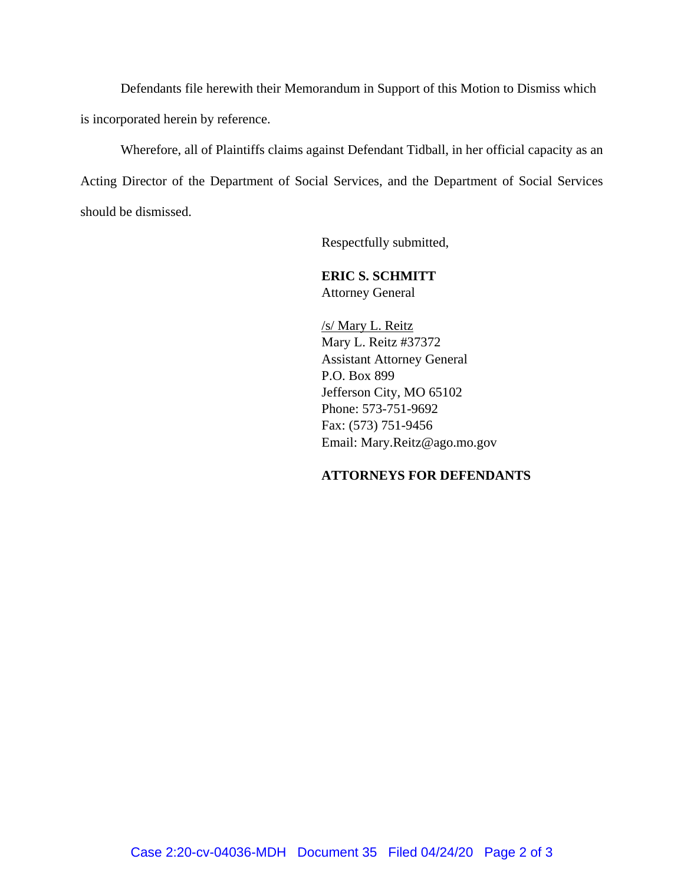Defendants file herewith their Memorandum in Support of this Motion to Dismiss which is incorporated herein by reference.

Wherefore, all of Plaintiffs claims against Defendant Tidball, in her official capacity as an Acting Director of the Department of Social Services, and the Department of Social Services should be dismissed.

Respectfully submitted,

### **ERIC S. SCHMITT** Attorney General

/s/ Mary L. Reitz Mary L. Reitz #37372 Assistant Attorney General P.O. Box 899 Jefferson City, MO 65102 Phone: 573-751-9692 Fax: (573) 751-9456 Email: Mary.Reitz@ago.mo.gov

## **ATTORNEYS FOR DEFENDANTS**